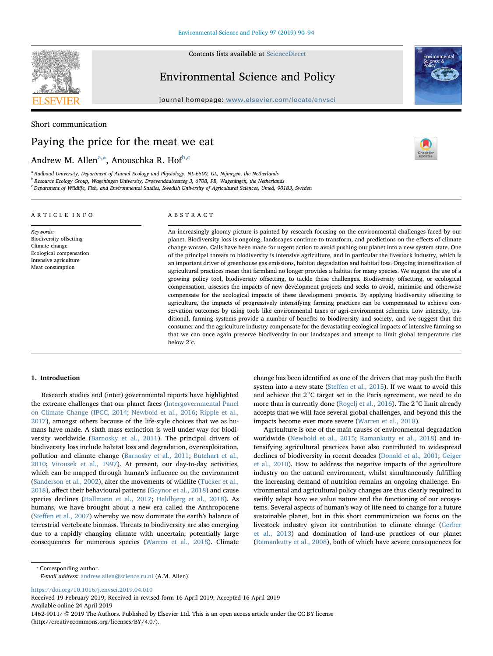

Contents lists available at [ScienceDirect](http://www.sciencedirect.com/science/journal/14629011)

## Environmental Science and Policy

journal homepage: [www.elsevier.com/locate/envsci](https://www.elsevier.com/locate/envsci)



 $\frac{N}{2}$ 

Short communication

# Paying the price for the meat we eat

Andrew M. Allen<sup>[a](#page-0-0),</sup>\*, Anouschka R. Hof<sup>[b](#page-0-2)[,c](#page-0-3)</sup>

<span id="page-0-0"></span><sup>a</sup> Radboud University, Department of Animal Ecology and Physiology, NL-6500, GL, Nijmegen, the Netherlands

<span id="page-0-2"></span><sup>b</sup> Resource Ecology Group, Wageningen University, Droevendaalsesteeg 3, 6708, PB, Wageningen, the Netherlands

<span id="page-0-3"></span><sup>c</sup> Department of Wildlife, Fish, and Environmental Studies, Swedish University of Agricultural Sciences, Umeå, 90183, Sweden

### ARTICLE INFO

Keywords: Biodiversity offsetting Climate change Ecological compensation Intensive agriculture Meat consumption

### ABSTRACT

An increasingly gloomy picture is painted by research focusing on the environmental challenges faced by our planet. Biodiversity loss is ongoing, landscapes continue to transform, and predictions on the effects of climate change worsen. Calls have been made for urgent action to avoid pushing our planet into a new system state. One of the principal threats to biodiversity is intensive agriculture, and in particular the livestock industry, which is an important driver of greenhouse gas emissions, habitat degradation and habitat loss. Ongoing intensification of agricultural practices mean that farmland no longer provides a habitat for many species. We suggest the use of a growing policy tool, biodiversity offsetting, to tackle these challenges. Biodiversity offsetting, or ecological compensation, assesses the impacts of new development projects and seeks to avoid, minimise and otherwise compensate for the ecological impacts of these development projects. By applying biodiversity offsetting to agriculture, the impacts of progressively intensifying farming practices can be compensated to achieve conservation outcomes by using tools like environmental taxes or agri-environment schemes. Low intensity, traditional, farming systems provide a number of benefits to biodiversity and society, and we suggest that the consumer and the agriculture industry compensate for the devastating ecological impacts of intensive farming so that we can once again preserve biodiversity in our landscapes and attempt to limit global temperature rise below 2°c.

#### 1. Introduction

Research studies and (inter) governmental reports have highlighted the extreme challenges that our planet faces [\(Intergovernmental Panel](#page-3-0) [on Climate Change \(IPCC, 2014;](#page-3-0) [Newbold et al., 2016](#page-4-0); [Ripple et al.,](#page-4-1) [2017\)](#page-4-1), amongst others because of the life-style choices that we as humans have made. A sixth mass extinction is well under-way for biodiversity worldwide [\(Barnosky et al., 2011\)](#page-3-1). The principal drivers of biodiversity loss include habitat loss and degradation, overexploitation, pollution and climate change [\(Barnosky et al., 2011](#page-3-1); [Butchart et al.,](#page-3-2) [2010;](#page-3-2) [Vitousek et al., 1997\)](#page-4-2). At present, our day-to-day activities, which can be mapped through human's influence on the environment ([Sanderson et al., 2002](#page-4-3)), alter the movements of wildlife [\(Tucker et al.,](#page-4-4) [2018\)](#page-4-4), affect their behavioural patterns [\(Gaynor et al., 2018\)](#page-3-3) and cause species declines ([Hallmann et al., 2017](#page-3-4); [Heldbjerg et al., 2018](#page-3-5)). As humans, we have brought about a new era called the Anthropocene (Steff[en et al., 2007\)](#page-4-5) whereby we now dominate the earth's balance of terrestrial vertebrate biomass. Threats to biodiversity are also emerging due to a rapidly changing climate with uncertain, potentially large consequences for numerous species [\(Warren et al., 2018\)](#page-4-6). Climate

change has been identified as one of the drivers that may push the Earth system into a new state (Steff[en et al., 2015](#page-4-7)). If we want to avoid this and achieve the 2 °C target set in the Paris agreement, we need to do more than is currently done ([Rogelj et al., 2016\)](#page-4-8). The 2 °C limit already accepts that we will face several global challenges, and beyond this the impacts become ever more severe ([Warren et al., 2018](#page-4-6)).

Agriculture is one of the main causes of environmental degradation worldwide ([Newbold et al., 2015](#page-4-9); [Ramankutty et al., 2018\)](#page-4-10) and intensifying agricultural practices have also contributed to widespread declines of biodiversity in recent decades [\(Donald et al., 2001;](#page-3-6) [Geiger](#page-3-7) [et al., 2010](#page-3-7)). How to address the negative impacts of the agriculture industry on the natural environment, whilst simultaneously fulfilling the increasing demand of nutrition remains an ongoing challenge. Environmental and agricultural policy changes are thus clearly required to swiftly adapt how we value nature and the functioning of our ecosystems. Several aspects of human's way of life need to change for a future sustainable planet, but in this short communication we focus on the livestock industry given its contribution to climate change ([Gerber](#page-3-8) [et al., 2013](#page-3-8)) and domination of land-use practices of our planet ([Ramankutty et al., 2008\)](#page-4-11), both of which have severe consequences for

E-mail address: [andrew.allen@science.ru.nl](mailto:andrew.allen@science.ru.nl) (A.M. Allen).

<https://doi.org/10.1016/j.envsci.2019.04.010>

Received 19 February 2019; Received in revised form 16 April 2019; Accepted 16 April 2019 Available online 24 April 2019 1462-9011/ © 2019 The Authors. Published by Elsevier Ltd. This is an open access article under the CC BY license (http://creativecommons.org/licenses/BY/4.0/).

<span id="page-0-1"></span><sup>⁎</sup> Corresponding author.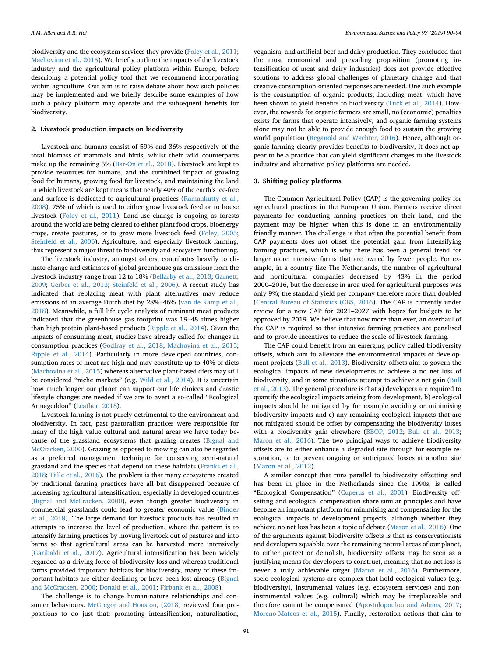biodiversity and the ecosystem services they provide [\(Foley et al., 2011](#page-3-9); [Machovina et al., 2015\)](#page-3-10). We briefly outline the impacts of the livestock industry and the agricultural policy platform within Europe, before describing a potential policy tool that we recommend incorporating within agriculture. Our aim is to raise debate about how such policies may be implemented and we briefly describe some examples of how such a policy platform may operate and the subsequent benefits for biodiversity.

#### 2. Livestock production impacts on biodiversity

Livestock and humans consist of 59% and 36% respectively of the total biomass of mammals and birds, whilst their wild counterparts make up the remaining 5% [\(Bar-On et al., 2018](#page-3-11)). Livestock are kept to provide resources for humans, and the combined impact of growing food for humans, growing food for livestock, and maintaining the land in which livestock are kept means that nearly 40% of the earth's ice-free land surface is dedicated to agricultural practices ([Ramankutty et al.,](#page-4-11) [2008\)](#page-4-11), 75% of which is used to either grow livestock feed or to house livestock [\(Foley et al., 2011\)](#page-3-9). Land-use change is ongoing as forests around the world are being cleared to either plant food crops, bioenergy crops, create pastures, or to grow more livestock feed [\(Foley, 2005](#page-3-12); [Steinfeld et al., 2006\)](#page-4-12). Agriculture, and especially livestock farming, thus represent a major threat to biodiversity and ecosystem functioning.

The livestock industry, amongst others, contributes heavily to climate change and estimates of global greenhouse gas emissions from the livestock industry range from 12 to 18% [\(Bellarby et al., 2013;](#page-3-13) [Garnett,](#page-3-14) [2009;](#page-3-14) [Gerber et al., 2013](#page-3-8); [Steinfeld et al., 2006](#page-4-12)). A recent study has indicated that replacing meat with plant alternatives may reduce emissions of an average Dutch diet by 28%–46% [\(van de Kamp et al.,](#page-4-13) [2018\)](#page-4-13). Meanwhile, a full life cycle analysis of ruminant meat products indicated that the greenhouse gas footprint was 19–48 times higher than high protein plant-based products [\(Ripple et al., 2014\)](#page-4-14). Given the impacts of consuming meat, studies have already called for changes in consumption practices ([Godfray et al., 2018](#page-3-15); [Machovina et al., 2015](#page-3-10); [Ripple et al., 2014\)](#page-4-14). Particularly in more developed countries, consumption rates of meat are high and may constitute up to 40% of diets ([Machovina et al., 2015](#page-3-10)) whereas alternative plant-based diets may still be considered "niche markets" (e.g. [Wild et al., 2014](#page-4-15)). It is uncertain how much longer our planet can support our life choices and drastic lifestyle changes are needed if we are to avert a so-called "Ecological Armageddon" [\(Leather, 2018](#page-3-16)).

Livestock farming is not purely detrimental to the environment and biodiversity. In fact, past pastoralism practices were responsible for many of the high value cultural and natural areas we have today because of the grassland ecosystems that grazing creates ([Bignal and](#page-3-17) [McCracken, 2000](#page-3-17)). Grazing as opposed to mowing can also be regarded as a preferred management technique for conserving semi-natural grassland and the species that depend on these habitats [\(Franks et al.,](#page-3-18) [2018;](#page-3-18) [Tälle et al., 2016](#page-4-16)). The problem is that many ecosystems created by traditional farming practices have all but disappeared because of increasing agricultural intensification, especially in developed countries ([Bignal and McCracken, 2000\)](#page-3-17), even though greater biodiversity in commercial grasslands could lead to greater economic value [\(Binder](#page-3-19) [et al., 2018\)](#page-3-19). The large demand for livestock products has resulted in attempts to increase the level of production, where the pattern is to intensify farming practices by moving livestock out of pastures and into barns so that agricultural areas can be harvested more intensively ([Garibaldi et al., 2017\)](#page-3-20). Agricultural intensification has been widely regarded as a driving force of biodiversity loss and whereas traditional farms provided important habitats for biodiversity, many of these important habitats are either declining or have been lost already [\(Bignal](#page-3-17) [and McCracken, 2000](#page-3-17); [Donald et al., 2001](#page-3-6); [Firbank et al., 2008](#page-3-21)).

The challenge is to change human-nature relationships and consumer behaviours. [McGregor and Houston, \(2018\)](#page-4-17) reviewed four propositions to do just that: promoting intensification, naturalisation,

veganism, and artificial beef and dairy production. They concluded that the most economical and prevailing proposition (promoting intensification of meat and dairy industries) does not provide effective solutions to address global challenges of planetary change and that creative consumption-oriented responses are needed. One such example is the consumption of organic products, including meat, which have been shown to yield benefits to biodiversity ([Tuck et al., 2014\)](#page-4-18). However, the rewards for organic farmers are small, no (economic) penalties exists for farms that operate intensively, and organic farming systems alone may not be able to provide enough food to sustain the growing world population [\(Reganold and Wachter, 2016](#page-4-19)). Hence, although organic farming clearly provides benefits to biodiversity, it does not appear to be a practice that can yield significant changes to the livestock industry and alternative policy platforms are needed.

#### 3. Shifting policy platforms

The Common Agricultural Policy (CAP) is the governing policy for agricultural practices in the European Union. Farmers receive direct payments for conducting farming practices on their land, and the payment may be higher when this is done in an environmentally friendly manner. The challenge is that often the potential benefit from CAP payments does not offset the potential gain from intensifying farming practices, which is why there has been a general trend for larger more intensive farms that are owned by fewer people. For example, in a country like The Netherlands, the number of agricultural and horticultural companies decreased by 43% in the period 2000–2016, but the decrease in area used for agricultural purposes was only 9%; the standard yield per company therefore more than doubled ([Central Bureau of Statistics \(CBS, 2016\)](#page-3-22). The CAP is currently under review for a new CAP for 2021–2027 with hopes for budgets to be approved by 2019. We believe that now more than ever, an overhaul of the CAP is required so that intensive farming practices are penalised and to provide incentives to reduce the scale of livestock farming.

The CAP could benefit from an emerging policy called biodiversity offsets, which aim to alleviate the environmental impacts of development projects [\(Bull et al., 2013](#page-3-23)). Biodiversity offsets aim to govern the ecological impacts of new developments to achieve a no net loss of biodiversity, and in some situations attempt to achieve a net gain ([Bull](#page-3-23) [et al., 2013\)](#page-3-23). The general procedure is that a) developers are required to quantify the ecological impacts arising from development, b) ecological impacts should be mitigated by for example avoiding or minimising biodiversity impacts and c) any remaining ecological impacts that are not mitigated should be offset by compensating the biodiversity losses with a biodiversity gain elsewhere ([BBOP, 2012;](#page-3-24) [Bull et al., 2013](#page-3-23); [Maron et al., 2016\)](#page-3-25). The two principal ways to achieve biodiversity offsets are to either enhance a degraded site through for example restoration, or to prevent ongoing or anticipated losses at another site ([Maron et al., 2012](#page-3-26)).

A similar concept that runs parallel to biodiversity offsetting and has been in place in the Netherlands since the 1990s, is called "Ecological Compensation" ([Cuperus et al., 2001](#page-3-27)). Biodiversity offsetting and ecological compensation share similar principles and have become an important platform for minimising and compensating for the ecological impacts of development projects, although whether they achieve no net loss has been a topic of debate [\(Maron et al., 2016](#page-3-25)). One of the arguments against biodiversity offsets is that as conservationists and developers squabble over the remaining natural areas of our planet, to either protect or demolish, biodiversity offsets may be seen as a justifying means for developers to construct, meaning that no net loss is never a truly achievable target [\(Maron et al., 2016\)](#page-3-25). Furthermore, socio-ecological systems are complex that hold ecological values (e.g. biodiversity), instrumental values (e.g. ecosystem services) and noninstrumental values (e.g. cultural) which may be irreplaceable and therefore cannot be compensated ([Apostolopoulou and Adams, 2017](#page-3-28); [Moreno-Mateos et al., 2015](#page-4-20)). Finally, restoration actions that aim to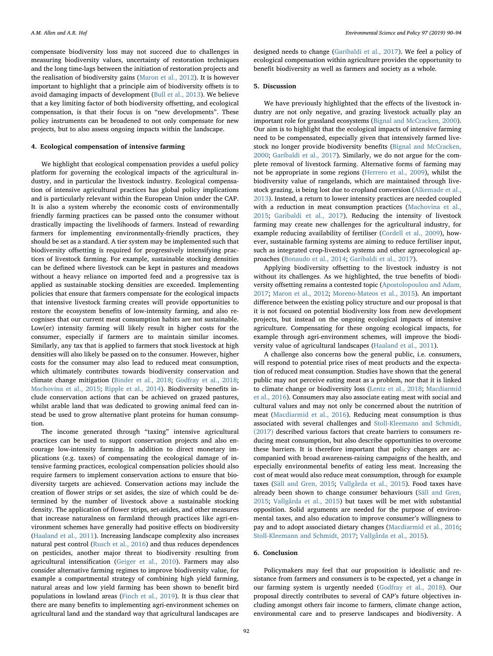compensate biodiversity loss may not succeed due to challenges in measuring biodiversity values, uncertainty of restoration techniques and the long time-lags between the initiation of restoration projects and the realisation of biodiversity gains ([Maron et al., 2012\)](#page-3-26). It is however important to highlight that a principle aim of biodiversity offsets is to avoid damaging impacts of development [\(Bull et al., 2013](#page-3-23)). We believe that a key limiting factor of both biodiversity offsetting, and ecological compensation, is that their focus is on "new developments". These policy instruments can be broadened to not only compensate for new projects, but to also assess ongoing impacts within the landscape.

#### 4. Ecological compensation of intensive farming

We highlight that ecological compensation provides a useful policy platform for governing the ecological impacts of the agricultural industry, and in particular the livestock industry. Ecological compensation of intensive agricultural practices has global policy implications and is particularly relevant within the European Union under the CAP. It is also a system whereby the economic costs of environmentally friendly farming practices can be passed onto the consumer without drastically impacting the livelihoods of farmers. Instead of rewarding farmers for implementing environmentally-friendly practices, they should be set as a standard. A tier system may be implemented such that biodiversity offsetting is required for progressively intensifying practices of livestock farming. For example, sustainable stocking densities can be defined where livestock can be kept in pastures and meadows without a heavy reliance on imported feed and a progressive tax is applied as sustainable stocking densities are exceeded. Implementing policies that ensure that farmers compensate for the ecological impacts that intensive livestock farming creates will provide opportunities to restore the ecosystem benefits of low-intensity farming, and also recognises that our current meat consumption habits are not sustainable. Low(er) intensity farming will likely result in higher costs for the consumer, especially if farmers are to maintain similar incomes. Similarly, any tax that is applied to farmers that stock livestock at high densities will also likely be passed on to the consumer. However, higher costs for the consumer may also lead to reduced meat consumption, which ultimately contributes towards biodiversity conservation and climate change mitigation [\(Binder et al., 2018;](#page-3-19) [Godfray et al., 2018](#page-3-15); [Machovina et al., 2015](#page-3-10); [Ripple et al., 2014\)](#page-4-14). Biodiversity benefits include conservation actions that can be achieved on grazed pastures, whilst arable land that was dedicated to growing animal feed can instead be used to grow alternative plant proteins for human consumption.

The income generated through "taxing" intensive agricultural practices can be used to support conservation projects and also encourage low-intensity farming. In addition to direct monetary implications (e.g. taxes) of compensating the ecological damage of intensive farming practices, ecological compensation policies should also require farmers to implement conservation actions to ensure that biodiversity targets are achieved. Conservation actions may include the creation of flower strips or set asides, the size of which could be determined by the number of livestock above a sustainable stocking density. The application of flower strips, set-asides, and other measures that increase naturalness on farmland through practices like agri-environment schemes have generally had positive effects on biodiversity ([Haaland et al., 2011\)](#page-3-29). Increasing landscape complexity also increases natural pest control [\(Rusch et al., 2016](#page-4-21)) and thus reduces dependences on pesticides, another major threat to biodiversity resulting from agricultural intensification ([Geiger et al., 2010\)](#page-3-7). Farmers may also consider alternative farming regimes to improve biodiversity value, for example a compartmental strategy of combining high yield farming, natural areas and low yield farming has been shown to benefit bird populations in lowland areas ([Finch et al., 2019](#page-3-30)). It is thus clear that there are many benefits to implementing agri-environment schemes on agricultural land and the standard way that agricultural landscapes are

designed needs to change [\(Garibaldi et al., 2017](#page-3-20)). We feel a policy of ecological compensation within agriculture provides the opportunity to benefit biodiversity as well as farmers and society as a whole.

#### 5. Discussion

We have previously highlighted that the effects of the livestock industry are not only negative, and grazing livestock actually play an important role for grassland ecosystems [\(Bignal and McCracken, 2000](#page-3-17)). Our aim is to highlight that the ecological impacts of intensive farming need to be compensated, especially given that intensively farmed livestock no longer provide biodiversity benefits [\(Bignal and McCracken,](#page-3-17) [2000;](#page-3-17) [Garibaldi et al., 2017\)](#page-3-20). Similarly, we do not argue for the complete removal of livestock farming. Alternative forms of farming may not be appropriate in some regions ([Herrero et al., 2009](#page-3-31)), whilst the biodiversity value of rangelands, which are maintained through livestock grazing, is being lost due to cropland conversion [\(Alkemade et al.,](#page-3-32) [2013\)](#page-3-32). Instead, a return to lower intensity practices are needed coupled with a reduction in meat consumption practices [\(Machovina et al.,](#page-3-10) [2015;](#page-3-10) [Garibaldi et al., 2017\)](#page-3-20). Reducing the intensity of livestock farming may create new challenges for the agricultural industry, for example reducing availability of fertiliser ([Cordell et al., 2009\)](#page-3-33), however, sustainable farming systems are aiming to reduce fertiliser input, such as integrated crop-livestock systems and other agroecological approaches ([Bonaudo et al., 2014](#page-3-34); [Garibaldi et al., 2017](#page-3-20)).

Applying biodiversity offsetting to the livestock industry is not without its challenges. As we highlighted, the true benefits of biodiversity offsetting remains a contested topic ([Apostolopoulou and Adam,](#page-3-28) [2017;](#page-3-28) [Maron et al., 2012](#page-3-26); [Moreno-Mateos et al., 2015\)](#page-4-20). An important difference between the existing policy structure and our proposal is that it is not focused on potential biodiversity loss from new development projects, but instead on the ongoing ecological impacts of intensive agriculture. Compensating for these ongoing ecological impacts, for example through agri-environment schemes, will improve the biodiversity value of agricultural landscapes ([Haaland et al., 2011\)](#page-3-29).

A challenge also concerns how the general public, i.e. consumers, will respond to potential price rises of meat products and the expectation of reduced meat consumption. Studies have shown that the general public may not perceive eating meat as a problem, nor that it is linked to climate change or biodiversity loss [\(Lentz et al., 2018](#page-3-35); [Macdiarmid](#page-3-36) [et al., 2016](#page-3-36)). Consumers may also associate eating meat with social and cultural values and may not only be concerned about the nutrition of meat [\(Macdiarmid et al., 2016\)](#page-3-36). Reducing meat consumption is thus associated with several challenges and [Stoll-Kleemann and Schmidt,](#page-4-22) [\(2017\)](#page-4-22) described various factors that create barriers to consumers reducing meat consumption, but also describe opportunities to overcome these barriers. It is therefore important that policy changes are accompanied with broad awareness-raising campaigns of the health, and especially environmental benefits of eating less meat. Increasing the cost of meat would also reduce meat consumption, through for example taxes ([Säll and Gren, 2015;](#page-4-23) [Vallgårda et al., 2015\)](#page-4-24). Food taxes have already been shown to change consumer behaviours [\(Säll and Gren,](#page-4-23) [2015;](#page-4-23) [Vallgårda et al., 2015\)](#page-4-24) but taxes will be met with substantial opposition. Solid arguments are needed for the purpose of environmental taxes, and also education to improve consumer's willingness to pay and to adopt associated dietary changes ([Macdiarmid et al., 2016](#page-3-36); [Stoll-Kleemann and Schmidt, 2017](#page-4-22); [Vallgårda et al., 2015\)](#page-4-24).

#### 6. Conclusion

Policymakers may feel that our proposition is idealistic and resistance from farmers and consumers is to be expected, yet a change in our farming system is urgently needed ([Godfray et al., 2018\)](#page-3-15). Our proposal directly contributes to several of CAP's future objectives including amongst others fair income to farmers, climate change action, environmental care and to preserve landscapes and biodiversity. A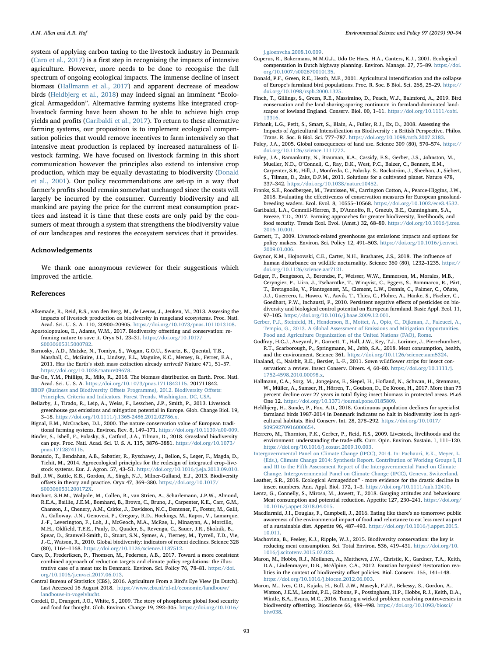system of applying carbon taxing to the livestock industry in Denmark ([Caro et al., 2017\)](#page-3-37) is a first step in recognising the impacts of intensive agriculture. However, more needs to be done to recognise the full spectrum of ongoing ecological impacts. The immense decline of insect biomass ([Hallmann et al., 2017\)](#page-3-4) and apparent decrease of meadow birds [\(Heldbjerg et al., 2018](#page-3-5)) may indeed signal an imminent "Ecological Armageddon". Alternative farming systems like integrated croplivestock farming have been shown to be able to achieve high crop yields and profits ([Garibaldi et al., 2017](#page-3-20)). To return to these alternative farming systems, our proposition is to implement ecological compensation policies that would remove incentives to farm intensively so that intensive meat production is replaced by increased naturalness of livestock farming. We have focused on livestock farming in this short communication however the principles also extend to intensive crop production, which may be equally devastating to biodiversity [\(Donald](#page-3-6) [et al., 2001](#page-3-6)). Our policy recommendations are set-up in a way that farmer's profits should remain somewhat unchanged since the costs will largely be incurred by the consumer. Currently biodiversity and all mankind are paying the price for the current meat consumption practices and instead it is time that these costs are only paid by the consumers of meat through a system that strengthens the biodiversity value of our landscapes and restores the ecosystem services that it provides.

#### Acknowledgements

We thank one anonymous reviewer for their suggestions which improved the article.

#### References

- <span id="page-3-32"></span>Alkemade, R., Reid, R.S., van den Berg, M., de Leeuw, J., Jeuken, M., 2013. Assessing the impacts of livestock production on biodiversity in rangeland ecosystems. Proc. Natl. Acad. Sci. U. S. A. 110, 20900–20905. [https://doi.org/10.1073/pnas.1011013108.](https://doi.org/10.1073/pnas.1011013108)
- <span id="page-3-28"></span>Apostolopoulou, E., Adams, W.M., 2017. Biodiversity offsetting and conservation: reframing nature to save it. Oryx 51, 23–31. [https://doi.org/10.1017/](https://doi.org/10.1017/S0030605315000782) [S0030605315000782](https://doi.org/10.1017/S0030605315000782).
- <span id="page-3-1"></span>Barnosky, A.D., Matzke, N., Tomiya, S., Wogan, G.O.U., Swartz, B., Quental, T.B., Marshall, C., McGuire, J.L., Lindsey, E.L., Maguire, K.C., Mersey, B., Ferrer, E.A., 2011. Has the Earth's sixth mass extinction already arrived? Nature 471, 51–57. [https://doi.org/10.1038/nature09678.](https://doi.org/10.1038/nature09678)
- <span id="page-3-11"></span>Bar-On, Y.M., Phillips, R., Milo, R., 2018. The biomass distribution on Earth. Proc. Natl. Acad. Sci. U. S. A. [https://doi.org/10.1073/pnas.1711842115.](https://doi.org/10.1073/pnas.1711842115) 201711842.
- <span id="page-3-24"></span>BBOP (Business and Biodiversity Off[sets Programme\), 2012. Biodiversity O](http://refhub.elsevier.com/S1462-9011(19)30180-7/sbref0025)ffsets: [Principles, Criteria and Indicators. Forest Trends, Washington, DC, USA.](http://refhub.elsevier.com/S1462-9011(19)30180-7/sbref0025)
- <span id="page-3-13"></span>Bellarby, J., Tirado, R., Leip, A., Weiss, F., Lesschen, J.P., Smith, P., 2013. Livestock greenhouse gas emissions and mitigation potential in Europe. Glob. Change Biol. 19, 3–18. [https://doi.org/10.1111/j.1365-2486.2012.02786.x.](https://doi.org/10.1111/j.1365-2486.2012.02786.x)
- <span id="page-3-17"></span>Bignal, E.M., McCracken, D.I., 2000. The nature conservation value of European traditional farming systems. Environ. Rev. 8, 149–171. [https://doi.org/10.1139/a00-009.](https://doi.org/10.1139/a00-009)
- <span id="page-3-19"></span>Binder, S., Isbell, F., Polasky, S., Catford, J.A., Tilman, D., 2018. Grassland biodiversity can pay. Proc. Natl. Acad. Sci. U. S. A. 115, 3876–3881. [https://doi.org/10.1073/](https://doi.org/10.1073/pnas.1712874115) [pnas.1712874115](https://doi.org/10.1073/pnas.1712874115).
- <span id="page-3-34"></span>Bonaudo, T., Bendahan, A.B., Sabatier, R., Ryschawy, J., Bellon, S., Leger, F., Magda, D., Tichit, M., 2014. Agroecological principles for the redesign of integrated crop–livestock systems. Eur. J. Agron. 57, 43–51. [https://doi.org/10.1016/j.eja.2013.09.010.](https://doi.org/10.1016/j.eja.2013.09.010)
- <span id="page-3-23"></span>Bull, J.W., Suttle, K.B., Gordon, A., Singh, N.J., Milner-Gulland, E.J., 2013. Biodiversity offsets in theory and practice. Oryx 47, 369–380. [https://doi.org/10.1017/](https://doi.org/10.1017/S003060531200172X) [S003060531200172X.](https://doi.org/10.1017/S003060531200172X)
- <span id="page-3-2"></span>Butchart, S.H.M., Walpole, M., Collen, B., van Strien, A., Scharlemann, J.P.W., Almond, R.E.A., Baillie, J.E.M., Bomhard, B., Brown, C., Bruno, J., Carpenter, K.E., Carr, G.M., Chanson, J., Chenery, A.M., Csirke, J., Davidson, N.C., Dentener, F., Foster, M., Galli, A., Galloway, J.N., Genovesi, P., Gregory, R.D., Hockings, M., Kapos, V., Lamarque, J.-F., Leverington, F., Loh, J., McGeoch, M.A., McRae, L., Minasyan, A., Morcillo, M.H., Oldfield, T.E.E., Pauly, D., Quader, S., Revenga, C., Sauer, J.R., Skolnik, B., Spear, D., Stanwell-Smith, D., Stuart, S.N., Symes, A., Tierney, M., Tyrrell, T.D., Vie, J.-C., Watson, R., 2010. Global biodiversity: indicators of recent declines. Science 328
- <span id="page-3-37"></span>(80), 1164–1168. <https://doi.org/10.1126/science.1187512>. Caro, D., Frederiksen, P., Thomsen, M., Pedersen, A.B., 2017. Toward a more consistent combined approach of reduction targets and climate policy regulations: the illus-
- <span id="page-3-22"></span>trative case of a meat tax in Denmark. Environ. Sci. Policy 76, 78–81. [https://doi.](https://doi.org/10.1016/j.envsci.2017.06.013) [org/10.1016/j.envsci.2017.06.013](https://doi.org/10.1016/j.envsci.2017.06.013). Central Bureau of Statistics (CBS), 2016. Agriculture From a Bird's Eye View [in Dutch]. Last Accessed 16 August 2018. [https://www.cbs.nl/nl-nl/economie/landbouw/](https://www.cbs.nl/nl-nl/economie/landbouw/landbouw-in-vogelvlucht)
- <span id="page-3-33"></span>[landbouw-in-vogelvlucht](https://www.cbs.nl/nl-nl/economie/landbouw/landbouw-in-vogelvlucht). Cordell, D., Drangert, J.O., White, S., 2009. The story of phosphorus: global food security
- and food for thought. Glob. Environ. Change 19, 292–305. [https://doi.org/10.1016/](https://doi.org/10.1016/j.gloenvcha.2008.10.009)

[j.gloenvcha.2008.10.009.](https://doi.org/10.1016/j.gloenvcha.2008.10.009)

- <span id="page-3-27"></span>Cuperus, R., Bakermans, M.M.G.J., Udo De Haes, H.A., Canters, K.J., 2001. Ecological compensation in Dutch highway planning. Environ. Manage. 27, 75–89. [https://doi.](https://doi.org/10.1007/s002670010135) [org/10.1007/s002670010135](https://doi.org/10.1007/s002670010135).
- <span id="page-3-6"></span>Donald, P.F., Green, R.E., Heath, M.F., 2001. Agricultural intensification and the collapse of Europe's farmland bird populations. Proc. R. Soc. B Biol. Sci. 268, 25–29. [https://](https://doi.org/10.1098/rspb.2000.1325) [doi.org/10.1098/rspb.2000.1325.](https://doi.org/10.1098/rspb.2000.1325)
- <span id="page-3-30"></span>Finch, T., Gillings, S., Green, R.E., Massimino, D., Peach, W.J., Balmford, A., 2019. Bird conservation and the land sharing‐sparing continuum in farmland‐dominated landscapes of lowland England. Conserv. Biol. 00, 1–11. [https://doi.org/10.1111/cobi.](https://doi.org/10.1111/cobi.13316) [13316.](https://doi.org/10.1111/cobi.13316)
- <span id="page-3-21"></span>Firbank, L.G., Petit, S., Smart, S., Blain, A., Fuller, R.J., Ex, D., 2008. Assessing the Impacts of Agricultural Intensification on Biodiversity : a British Perspective. Philos. Trans. R. Soc. B Biol. Sci. 777–787. [https://doi.org/10.1098/rstb.2007.2183.](https://doi.org/10.1098/rstb.2007.2183)
- <span id="page-3-12"></span>Foley, J.A., 2005. Global consequences of land use. Science 309 (80), 570–574. [https://](https://doi.org/10.1126/science.1111772) [doi.org/10.1126/science.1111772](https://doi.org/10.1126/science.1111772).
- <span id="page-3-9"></span>Foley, J.A., Ramankutty, N., Brauman, K.A., Cassidy, E.S., Gerber, J.S., Johnston, M., Mueller, N.D., O'Connell, C., Ray, D.K., West, P.C., Balzer, C., Bennett, E.M., Carpenter, S.R., Hill, J., Monfreda, C., Polasky, S., Rockström, J., Sheehan, J., Siebert, S., Tilman, D., Zaks, D.P.M., 2011. Solutions for a cultivated planet. Nature 478, 337–342. <https://doi.org/10.1038/nature10452>.
- <span id="page-3-18"></span>Franks, S.E., Roodbergen, M., Teunissen, W., Carrington Cotton, A., Pearce-Higgins, J.W., 2018. Evaluating the effectiveness of conservation measures for European grasslandbreeding waders. Ecol. Evol. 8, 10555–10568. [https://doi.org/10.1002/ece3.4532.](https://doi.org/10.1002/ece3.4532)
- <span id="page-3-20"></span>Garibaldi, L.A., Gemmill-Herren, B., D'Annolfo, R., Graeub, B.E., Cunningham, S.A., Breeze, T.D., 2017. Farming approaches for greater biodiversity, livelihoods, and food security. Trends Ecol. Evol. (Amst.) 32, 68–80. [https://doi.org/10.1016/j.tree.](https://doi.org/10.1016/j.tree.2016.10.001) [2016.10.001](https://doi.org/10.1016/j.tree.2016.10.001).
- <span id="page-3-14"></span>Garnett, T., 2009. Livestock-related greenhouse gas emissions: impacts and options for policy makers. Environ. Sci. Policy 12, 491–503. [https://doi.org/10.1016/j.envsci.](https://doi.org/10.1016/j.envsci.2009.01.006) [2009.01.006](https://doi.org/10.1016/j.envsci.2009.01.006).
- <span id="page-3-3"></span>Gaynor, K.M., Hojnowski, C.E., Carter, N.H., Brashares, J.S., 2018. The influence of human disturbance on wildlife nocturnality. Science 360 (80), 1232–1235. [https://](https://doi.org/10.1126/science.aar7121) [doi.org/10.1126/science.aar7121.](https://doi.org/10.1126/science.aar7121)
- <span id="page-3-7"></span>Geiger, F., Bengtsson, J., Berendse, F., Weisser, W.W., Emmerson, M., Morales, M.B., Ceryngier, P., Liira, J., Tscharntke, T., Winqvist, C., Eggers, S., Bommarco, R., Pärt, T., Bretagnolle, V., Plantegenest, M., Clement, L.W., Dennis, C., Palmer, C., Oñate, J.J., Guerrero, I., Hawro, V., Aavik, T., Thies, C., Flohre, A., Hänke, S., Fischer, C., Goedhart, P.W., Inchausti, P., 2010. Persistent negative effects of pesticides on biodiversity and biological control potential on European farmland. Basic Appl. Ecol. 11, 97–105. [https://doi.org/10.1016/j.baae.2009.12.001.](https://doi.org/10.1016/j.baae.2009.12.001)
- <span id="page-3-8"></span>[Gerber, P.J., Steinfeld, H., Henderson, B., Mottet, A., Opio, C., Dijkman, J., Falcucci, A.,](http://refhub.elsevier.com/S1462-9011(19)30180-7/sbref0130) [Tempio, G., 2013. A Global Assessment of Emissions and Mitigation Opportunities.](http://refhub.elsevier.com/S1462-9011(19)30180-7/sbref0130) [Food and Agriculture Organization of the United Nations \(FAO\), Rome.](http://refhub.elsevier.com/S1462-9011(19)30180-7/sbref0130)
- <span id="page-3-15"></span>Godfray, H.C.J., Aveyard, P., Garnett, T., Hall, J.W., Key, T.J., Lorimer, J., Pierrehumbert, R.T., Scarborough, P., Springmann, M., Jebb, S.A., 2018. Meat consumption, health, and the environment. Science 361. <https://doi.org/10.1126/science.aam5324>.
- <span id="page-3-29"></span>Haaland, C., Naisbit, R.E., Bersier, L.-F., 2011. Sown wildflower strips for insect conservation: a review. Insect Conserv. Divers. 4, 60–80. [https://doi.org/10.1111/j.](https://doi.org/10.1111/j.1752-4598.2010.00098.x) [1752-4598.2010.00098.x](https://doi.org/10.1111/j.1752-4598.2010.00098.x).
- <span id="page-3-4"></span>Hallmann, C.A., Sorg, M., Jongejans, E., Siepel, H., Hofland, N., Schwan, H., Stenmans, W., Müller, A., Sumser, H., Hörren, T., Goulson, D., De Kroon, H., 2017. More than 75 percent decline over 27 years in total flying insect biomass in protected areas. PLoS One 12. [https://doi.org/10.1371/journal.pone.0185809.](https://doi.org/10.1371/journal.pone.0185809)
- <span id="page-3-5"></span>Heldbjerg, H., Sunde, P., Fox, A.D., 2018. Continuous population declines for specialist farmland birds 1987-2014 in Denmark indicates no halt in biodiversity loss in agricultural habitats. Bird Conserv. Int. 28, 278–292. [https://doi.org/10.1017/](https://doi.org/10.1017/S0959270916000654) [S0959270916000654](https://doi.org/10.1017/S0959270916000654).
- <span id="page-3-31"></span>Herrero, M., Thornton, P.K., Gerber, P., Reid, R.S., 2009. Livestock, livelihoods and the environment: understanding the trade-offs. Curr. Opin. Environ. Sustain. 1, 111–120. [https://doi.org/10.1016/j.cosust.2009.10.003.](https://doi.org/10.1016/j.cosust.2009.10.003)
- <span id="page-3-0"></span>[Intergovernmental Panel on Climate Change \(IPCC\), 2014. In: Pachauri, R.K., Meyer, L.](http://refhub.elsevier.com/S1462-9011(19)30180-7/sbref0160) [\(Eds.\), Climate Change 2014: Synthesis Report. Contribution of Working Groups I, II](http://refhub.elsevier.com/S1462-9011(19)30180-7/sbref0160) [and III to the Fifth Assessment Report of the Intergovernmental Panel on Climate](http://refhub.elsevier.com/S1462-9011(19)30180-7/sbref0160) [Change. Intergovernmental Panel on Climate Change \(IPCC\), Geneva, Switzerland.](http://refhub.elsevier.com/S1462-9011(19)30180-7/sbref0160)
- <span id="page-3-16"></span>Leather, S.R., 2018. Ecological Armageddon" - more evidence for the drastic decline in insect numbers. Ann. Appl. Biol. 172, 1–3. [https://doi.org/10.1111/aab.12410.](https://doi.org/10.1111/aab.12410)
- <span id="page-3-35"></span>Lentz, G., Connelly, S., Mirosa, M., Jowett, T., 2018. Gauging attitudes and behaviours: Meat consumption and potential reduction. Appetite 127, 230–241. [https://doi.org/](https://doi.org/10.1016/j.appet.2018.04.015) [10.1016/j.appet.2018.04.015.](https://doi.org/10.1016/j.appet.2018.04.015)
- <span id="page-3-36"></span>Macdiarmid, J.I., Douglas, F., Campbell, J., 2016. Eating like there's no tomorrow: public awareness of the environmental impact of food and reluctance to eat less meat as part of a sustainable diet. Appetite 96, 487–493. [https://doi.org/10.1016/j.appet.2015.](https://doi.org/10.1016/j.appet.2015.10.011) [10.011](https://doi.org/10.1016/j.appet.2015.10.011).
- <span id="page-3-10"></span>Machovina, B., Feeley, K.J., Ripple, W.J., 2015. Biodiversity conservation: the key is reducing meat consumption. Sci. Total Environ. 536, 419–431. [https://doi.org/10.](https://doi.org/10.1016/j.scitotenv.2015.07.022) [1016/j.scitotenv.2015.07.022.](https://doi.org/10.1016/j.scitotenv.2015.07.022)
- <span id="page-3-26"></span>Maron, M., Hobbs, R.J., Moilanen, A., Matthews, J.W., Christie, K., Gardner, T.A., Keith, D.A., Lindenmayer, D.B., McAlpine, C.A., 2012. Faustian bargains? Restoration realities in the context of biodiversity offset policies. Biol. Conserv. 155, 141–148. [https://doi.org/10.1016/j.biocon.2012.06.003.](https://doi.org/10.1016/j.biocon.2012.06.003)
- <span id="page-3-25"></span>Maron, M., Ives, C.D., Kujala, H., Bull, J.W., Maseyk, F.J.F., Bekessy, S., Gordon, A., Watson, J.E.M., Lentini, P.E., Gibbons, P., Possingham, H.P., Hobbs, R.J., Keith, D.A., Wintle, B.A., Evans, M.C., 2016. Taming a wicked problem: resolving controversies in biodiversity offsetting. Bioscience 66, 489–498. [https://doi.org/10.1093/biosci/](https://doi.org/10.1093/biosci/biw038) [biw038.](https://doi.org/10.1093/biosci/biw038)